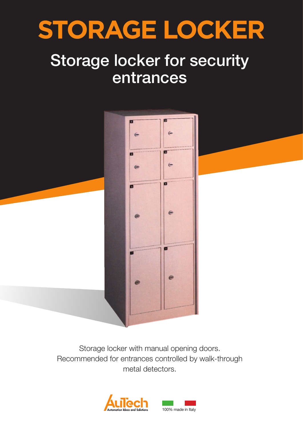

## Storage locker for security entrances



Storage locker with manual opening doors. Recommended for entrances controlled by walk-through metal detectors.